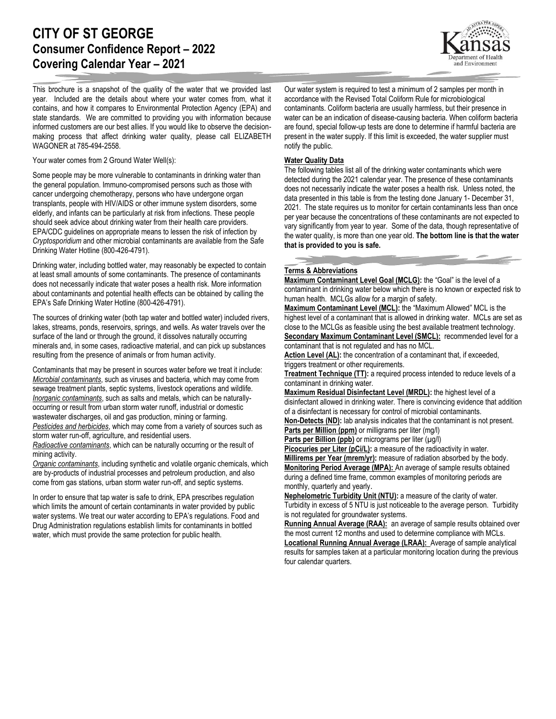# **CITY OF ST GEORGE Consumer Confidence Report – 2022 Covering Calendar Year – 2021**

and Environment

This brochure is a snapshot of the quality of the water that we provided last year. Included are the details about where your water comes from, what it contains, and how it compares to Environmental Protection Agency (EPA) and state standards. We are committed to providing you with information because informed customers are our best allies. If you would like to observe the decisionmaking process that affect drinking water quality, please call ELIZABETH WAGONER at 785-494-2558.

Your water comes from 2 Ground Water Well(s):

Some people may be more vulnerable to contaminants in drinking water than the general population. Immuno-compromised persons such as those with cancer undergoing chemotherapy, persons who have undergone organ transplants, people with HIV/AIDS or other immune system disorders, some elderly, and infants can be particularly at risk from infections. These people should seek advice about drinking water from their health care providers. EPA/CDC guidelines on appropriate means to lessen the risk of infection by *Cryptosporidium* and other microbial contaminants are available from the Safe Drinking Water Hotline (800-426-4791).

Drinking water, including bottled water, may reasonably be expected to contain at least small amounts of some contaminants. The presence of contaminants does not necessarily indicate that water poses a health risk. More information about contaminants and potential health effects can be obtained by calling the EPA's Safe Drinking Water Hotline (800-426-4791).

The sources of drinking water (both tap water and bottled water) included rivers, lakes, streams, ponds, reservoirs, springs, and wells. As water travels over the surface of the land or through the ground, it dissolves naturally occurring minerals and, in some cases, radioactive material, and can pick up substances resulting from the presence of animals or from human activity.

Contaminants that may be present in sources water before we treat it include: *Microbial contaminants*, such as viruses and bacteria, which may come from sewage treatment plants, septic systems, livestock operations and wildlife. *Inorganic contaminants*, such as salts and metals, which can be naturallyoccurring or result from urban storm water runoff, industrial or domestic wastewater discharges, oil and gas production, mining or farming. *Pesticides and herbicides*, which may come from a variety of sources such as storm water run-off, agriculture, and residential users.

*Radioactive contaminants*, which can be naturally occurring or the result of mining activity.

*Organic contaminants*, including synthetic and volatile organic chemicals, which are by-products of industrial processes and petroleum production, and also come from gas stations, urban storm water run-off, and septic systems.

In order to ensure that tap water is safe to drink, EPA prescribes regulation which limits the amount of certain contaminants in water provided by public water systems. We treat our water according to EPA's regulations. Food and Drug Administration regulations establish limits for contaminants in bottled water, which must provide the same protection for public health.

Our water system is required to test a minimum of 2 samples per month in accordance with the Revised Total Coliform Rule for microbiological contaminants. Coliform bacteria are usually harmless, but their presence in water can be an indication of disease-causing bacteria. When coliform bacteria are found, special follow-up tests are done to determine if harmful bacteria are present in the water supply. If this limit is exceeded, the water supplier must notify the public.

## **Water Quality Data**

The following tables list all of the drinking water contaminants which were detected during the 2021 calendar year. The presence of these contaminants does not necessarily indicate the water poses a health risk. Unless noted, the data presented in this table is from the testing done January 1- December 31, 2021. The state requires us to monitor for certain contaminants less than once per year because the concentrations of these contaminants are not expected to vary significantly from year to year. Some of the data, though representative of the water quality, is more than one year old. **The bottom line is that the water that is provided to you is safe.**

# **Terms & Abbreviations**

**Maximum Contaminant Level Goal (MCLG):** the "Goal" is the level of a contaminant in drinking water below which there is no known or expected risk to human health. MCLGs allow for a margin of safety.

**Maximum Contaminant Level (MCL):** the "Maximum Allowed" MCL is the highest level of a contaminant that is allowed in drinking water. MCLs are set as close to the MCLGs as feasible using the best available treatment technology. **Secondary Maximum Contaminant Level (SMCL):** recommended level for a contaminant that is not regulated and has no MCL.

**Action Level (AL):** the concentration of a contaminant that, if exceeded, triggers treatment or other requirements.

**Treatment Technique (TT):** a required process intended to reduce levels of a contaminant in drinking water.

**Maximum Residual Disinfectant Level (MRDL):** the highest level of a disinfectant allowed in drinking water. There is convincing evidence that addition of a disinfectant is necessary for control of microbial contaminants.

**Non-Detects (ND):** lab analysis indicates that the contaminant is not present. **Parts per Million (ppm)** or milligrams per liter (mg/l)

**Parts per Billion (ppb)** or micrograms per liter (µg/l)

Picocuries per Liter (pCi/L): a measure of the radioactivity in water. **Millirems per Year (mrem/yr):** measure of radiation absorbed by the body.

**Monitoring Period Average (MPA):** An average of sample results obtained during a defined time frame, common examples of monitoring periods are monthly, quarterly and yearly.

**Nephelometric Turbidity Unit (NTU):** a measure of the clarity of water. Turbidity in excess of 5 NTU is just noticeable to the average person. Turbidity is not regulated for groundwater systems.

**Running Annual Average (RAA):** an average of sample results obtained over the most current 12 months and used to determine compliance with MCLs. **Locational Running Annual Average (LRAA):** Average of sample analytical results for samples taken at a particular monitoring location during the previous four calendar quarters.